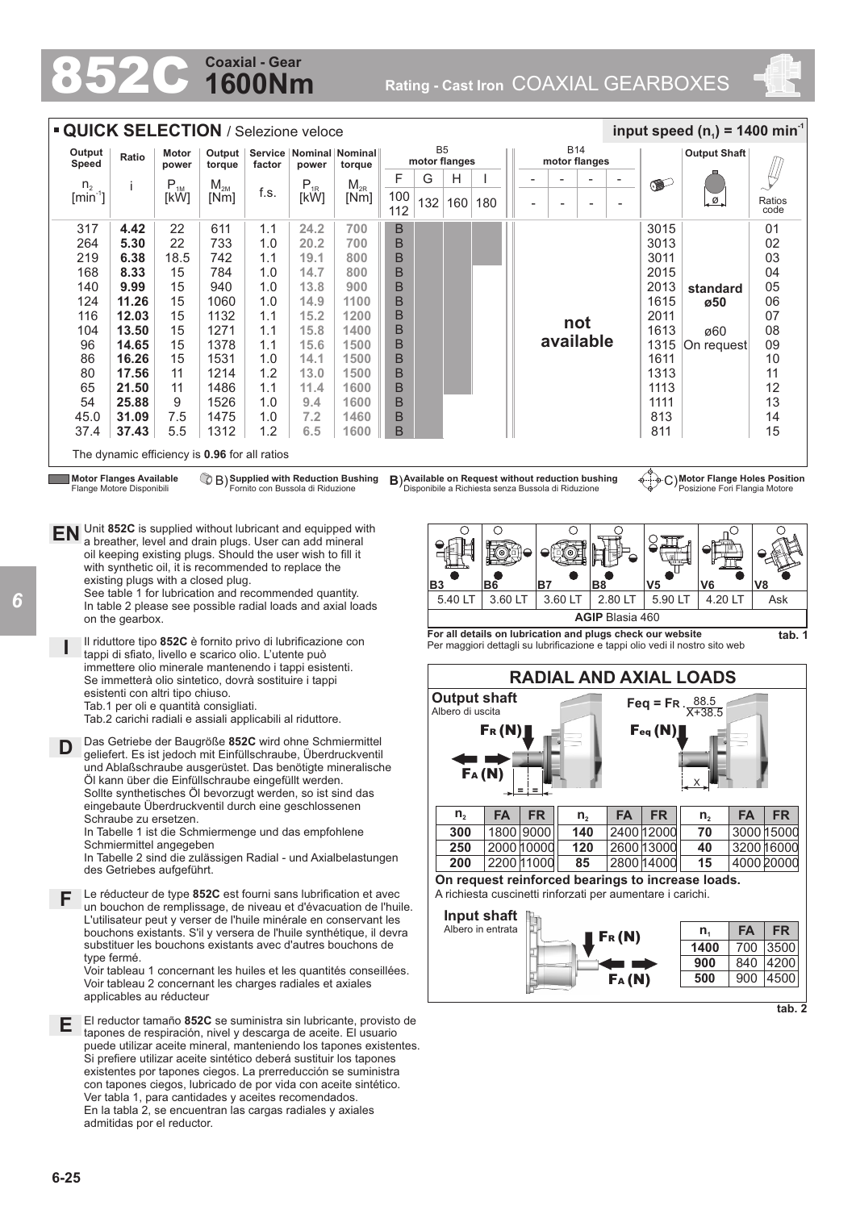### **1600Nm Coaxial - Gear**

852C **Rating - Cast Iron** COAXIAL GEARBOXES



| <b>QUICK SELECTION</b> / Selezione veloce<br>B <sub>5</sub><br>Service   Nominal   Nominal |                                                             |                |                  |                                  |          |                                      |            |               |     |                                                                                                         | <b>B14</b>    |                          |   |                          |  | input speed $(n_1)$ = 1400 min <sup>-1</sup> |           |                                                                     |                |  |  |  |  |  |  |  |  |  |  |  |                     |  |
|--------------------------------------------------------------------------------------------|-------------------------------------------------------------|----------------|------------------|----------------------------------|----------|--------------------------------------|------------|---------------|-----|---------------------------------------------------------------------------------------------------------|---------------|--------------------------|---|--------------------------|--|----------------------------------------------|-----------|---------------------------------------------------------------------|----------------|--|--|--|--|--|--|--|--|--|--|--|---------------------|--|
| Output<br>Speed                                                                            | Ratio                                                       | Motor<br>power | Output<br>torque | factor                           | power    | torque                               |            | motor flanges |     |                                                                                                         | motor flanges |                          |   |                          |  |                                              |           |                                                                     |                |  |  |  |  |  |  |  |  |  |  |  | <b>Output Shaft</b> |  |
| n <sub>2</sub>                                                                             |                                                             | $P_{1M}$       | $M_{2M}$         |                                  | $P_{1R}$ | $M_{2R}$                             | F          | G             | H   |                                                                                                         |               | $\overline{\phantom{0}}$ | ۰ | $\overline{\phantom{a}}$ |  |                                              | $\bullet$ |                                                                     |                |  |  |  |  |  |  |  |  |  |  |  |                     |  |
| $\left[\text{min}^{\text{-}1}\right]$                                                      |                                                             | [kW]           | [Nm]             | f.s.                             | [kW]     | [Nm]                                 | 100<br>112 | 132           | 160 | 180                                                                                                     |               | $\overline{a}$           |   |                          |  |                                              | .ø.       | Ratios<br>code                                                      |                |  |  |  |  |  |  |  |  |  |  |  |                     |  |
| 317                                                                                        | 4.42                                                        | 22             | 611              | 1.1                              | 24.2     | 700                                  | B          |               |     |                                                                                                         |               |                          |   |                          |  |                                              | 3015      |                                                                     | 0 <sub>1</sub> |  |  |  |  |  |  |  |  |  |  |  |                     |  |
| 264                                                                                        | 5.30                                                        | 22             | 733              | 1.0                              | 20.2     | 700                                  | B          |               |     |                                                                                                         |               |                          |   |                          |  |                                              | 3013      |                                                                     | 02             |  |  |  |  |  |  |  |  |  |  |  |                     |  |
| 219                                                                                        | 6.38                                                        | 18.5           | 742              | 1.1                              | 19.1     | 800                                  | B          |               |     |                                                                                                         |               |                          |   |                          |  |                                              | 3011      |                                                                     | 03             |  |  |  |  |  |  |  |  |  |  |  |                     |  |
| 168                                                                                        | 8.33                                                        | 15             | 784              | 1.0                              | 14.7     | 800                                  | B          |               |     |                                                                                                         |               |                          |   |                          |  |                                              | 2015      |                                                                     | 04             |  |  |  |  |  |  |  |  |  |  |  |                     |  |
| 140                                                                                        | 9.99                                                        | 15             | 940              | 1.0                              | 13.8     | 900                                  | B          |               |     |                                                                                                         |               |                          |   |                          |  |                                              | 2013      | standard                                                            | 05             |  |  |  |  |  |  |  |  |  |  |  |                     |  |
| 124                                                                                        | 11.26                                                       | 15             | 1060             | 1.0                              | 14.9     | 1100                                 | B          |               |     |                                                                                                         |               |                          |   |                          |  |                                              | 1615      | ø50                                                                 | 06             |  |  |  |  |  |  |  |  |  |  |  |                     |  |
| 116                                                                                        | 12.03                                                       | 15             | 1132             | 1.1                              | 15.2     | 1200                                 | B          |               |     |                                                                                                         |               |                          |   | not                      |  |                                              | 2011      |                                                                     | 07             |  |  |  |  |  |  |  |  |  |  |  |                     |  |
| 104                                                                                        | 13.50                                                       | 15             | 1271             | 1.1                              | 15.8     | 1400                                 | B          |               |     |                                                                                                         |               |                          |   |                          |  |                                              | 1613      | ø60                                                                 | 08             |  |  |  |  |  |  |  |  |  |  |  |                     |  |
| 96                                                                                         | 14.65                                                       | 15             | 1378             | 1.1                              | 15.6     | 1500                                 | B          |               |     |                                                                                                         |               |                          |   | available                |  |                                              | 1315      | On request                                                          | 09             |  |  |  |  |  |  |  |  |  |  |  |                     |  |
| 86                                                                                         | 16.26                                                       | 15             | 1531             | 1.0                              | 14.1     | 1500                                 | B          |               |     |                                                                                                         |               |                          |   |                          |  |                                              | 1611      |                                                                     | 10             |  |  |  |  |  |  |  |  |  |  |  |                     |  |
| 80                                                                                         | 17.56                                                       | 11             | 1214             | 1.2                              | 13.0     | 1500                                 | B          |               |     |                                                                                                         |               |                          |   |                          |  |                                              | 1313      |                                                                     | 11             |  |  |  |  |  |  |  |  |  |  |  |                     |  |
| 65                                                                                         | 21.50                                                       | 11             | 1486             | 1.1                              | 11.4     | 1600                                 | B          |               |     |                                                                                                         |               |                          |   |                          |  |                                              | 1113      |                                                                     | 12             |  |  |  |  |  |  |  |  |  |  |  |                     |  |
| 54                                                                                         | 25.88                                                       | 9              | 1526             | 1.0                              | 9.4      | 1600                                 | B          |               |     |                                                                                                         |               |                          |   |                          |  |                                              | 1111      |                                                                     | 13             |  |  |  |  |  |  |  |  |  |  |  |                     |  |
| 45.0                                                                                       | 31.09                                                       | 7.5            | 1475             | 1.0                              | 7.2      | 1460                                 | B          |               |     |                                                                                                         |               |                          |   |                          |  |                                              | 813       |                                                                     | 14             |  |  |  |  |  |  |  |  |  |  |  |                     |  |
| 37.4                                                                                       | 37.43                                                       | 5.5            | 1312             | 1.2                              | 6.5      | 1600                                 | B          |               |     |                                                                                                         |               |                          |   |                          |  |                                              | 811       |                                                                     | 15             |  |  |  |  |  |  |  |  |  |  |  |                     |  |
|                                                                                            | The dynamic efficiency is 0.96 for all ratios               |                |                  |                                  |          |                                      |            |               |     |                                                                                                         |               |                          |   |                          |  |                                              |           |                                                                     |                |  |  |  |  |  |  |  |  |  |  |  |                     |  |
|                                                                                            | <b>Motor Flanges Available</b><br>Flange Motore Disponibili |                |                  | Fornito con Bussola di Riduzione |          | C B) Supplied with Reduction Bushing |            |               |     | B) Available on Request without reduction bushing<br>Disponibile a Richiesta senza Bussola di Riduzione |               |                          |   |                          |  |                                              |           | o o C) Motor Flange Holes Position<br>Posizione Fori Flangia Motore |                |  |  |  |  |  |  |  |  |  |  |  |                     |  |

**EN** Unit **852C** is supplied without lubricant and equipped with a breather, level and drain plugs. User can add mineral oil keeping existing plugs. Should the user wish to fill it with synthetic oil, it is recommended to replace the existing plugs with a closed plug. See table 1 for lubrication and recommended quantity. In table 2 please see possible radial loads and axial loads

on the gearbox. Il riduttore tipo **852C** è fornito privo di lubrificazione con

**I** tappi di sfiato, livello e scarico olio. L'utente può immettere olio minerale mantenendo i tappi esistenti. Se immetterà olio sintetico, dovrà sostituire i tappi esistenti con altri tipo chiuso. Tab.1 per oli e quantità consigliati.

Tab.2 carichi radiali e assiali applicabili al riduttore.

D Das Getriebe der Baugröße 852C wird ohne Schmiermittel<br>
geliefert. Es ist jedoch mit Einfüllschraube, Überdruckventi geliefert. Es ist jedoch mit Einfüllschraube, Überdruckventil und Ablaßschraube ausgerüstet. Das benötigte mineralische Öl kann über die Einfüllschraube eingefüllt werden. Sollte synthetisches Öl bevorzugt werden, so ist sind das eingebaute Überdruckventil durch eine geschlossenen Schraube zu ersetzen.

In Tabelle 1 ist die Schmiermenge und das empfohlene Schmiermittel angegeben

In Tabelle 2 sind die zulässigen Radial - und Axialbelastungen des Getriebes aufgeführt.

**F** Le réducteur de type **852C** est fourni sans lubrification et avec un bouchon de remolissage, de niveau et d'évacuation de l'huil un bouchon de remplissage, de niveau et d'évacuation de l'huile. L'utilisateur peut y verser de l'huile minérale en conservant les bouchons existants. S'il y versera de l'huile synthétique, il devra substituer les bouchons existants avec d'autres bouchons de type fermé.

Voir tableau 1 concernant les huiles et les quantités conseillées. Voir tableau 2 concernant les charges radiales et axiales applicables au réducteur

El reductor tamaño **852C** se suministra sin lubricante, provisto de **E** tapones de respiración, nivel y descarga de aceite. El usuario puede utilizar aceite mineral, manteniendo los tapones existentes. Si prefiere utilizar aceite sintético deberá sustituir los tapones existentes por tapones ciegos. La prerreducción se suministra con tapones ciegos, lubricado de por vida con aceite sintético. Ver tabla 1, para cantidades y aceites recomendados. En la tabla 2, se encuentran las cargas radiales y axiales admitidas por el reductor.







FA (N)

**900** 840 4200 **500** 900 4500

**tab. 2**

**tab. 1**

*6*